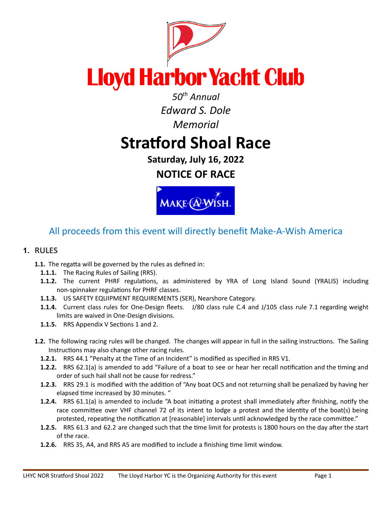

*Edward S. Dole Memorial*

# **Stratford Shoal Race**

**Saturday, July 16, 2022 NOTICE OF RACE**



# All proceeds from this event will directly benefit Make-A-Wish America

# **1. RULES**

- 1.1. The regatta will be governed by the rules as defined in:
	- **1.1.1.** The Racing Rules of Sailing (RRS).
	- 1.1.2. The current PHRF regulations, as administered by YRA of Long Island Sound (YRALIS) including non-spinnaker regulations for PHRF classes.
	- **1.1.3.** US SAFETY EQUIPMENT REQUIREMENTS (SER), Nearshore Category.
	- **1.1.4.** Current class rules for One-Design fleets. J/80 class rule C.4 and J/105 class rule 7.1 regarding weight limits are waived in One-Design divisions.
	- **1.1.5.** RRS Appendix V Sections 1 and 2.
- **1.2.** The following racing rules will be changed. The changes will appear in full in the sailing instructions. The Sailing Instructions may also change other racing rules.
	- **1.2.1.** RRS 44.1 "Penalty at the Time of an Incident" is modified as specified in RRS V1.
	- **1.2.2.** RRS 62.1(a) is amended to add "Failure of a boat to see or hear her recall notification and the timing and order of such hail shall not be cause for redress."
	- **1.2.3.** RRS 29.1 is modified with the addition of "Any boat OCS and not returning shall be penalized by having her elapsed time increased by 30 minutes. "
	- **1.2.4.** RRS 61.1(a) is amended to include "A boat initiating a protest shall immediately after finishing, notify the race committee over VHF channel 72 of its intent to lodge a protest and the identity of the boat(s) being protested, repeating the notification at [reasonable] intervals until acknowledged by the race committee."
	- **1.2.5.** RRS 61.3 and 62.2 are changed such that the time limit for protests is 1800 hours on the day after the start of the race.
	- **1.2.6.** RRS 35, A4, and RRS A5 are modified to include a finishing time limit window.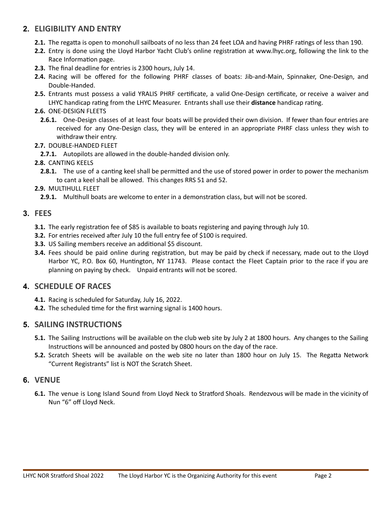# **2. ELIGIBILITY AND ENTRY**

- **2.1.** The regatta is open to monohull sailboats of no less than 24 feet LOA and having PHRF ratings of less than 190.
- **2.2.** Entry is done using the Lloyd Harbor Yacht Club's online registration at www.lhyc.org, following the link to the Race Information page.
- **2.3.** The final deadline for entries is 2300 hours, July 14.
- **2.4.** Racing will be offered for the following PHRF classes of boats: Jib-and-Main, Spinnaker, One-Design, and Double-Handed.
- **2.5.** Entrants must possess a valid YRALIS PHRF cerficate, a valid One-Design cerficate, or receive a waiver and LHYC handicap rating from the LHYC Measurer. Entrants shall use their **distance** handicap rating.

#### **2.6.** ONE-DESIGN FLEETS

- **2.6.1.** One-Design classes of at least four boats will be provided their own division. If fewer than four entries are received for any One-Design class, they will be entered in an appropriate PHRF class unless they wish to withdraw their entry.
- **2.7.** DOUBLE-HANDED FLEET
	- **2.7.1.** Autopilots are allowed in the double-handed division only.

#### **2.8.** CANTING KEELS

- **2.8.1.** The use of a canting keel shall be permitted and the use of stored power in order to power the mechanism to cant a keel shall be allowed. This changes RRS 51 and 52.
- **2.9.** MULTIHULL FLEET

2.9.1. Multihull boats are welcome to enter in a demonstration class, but will not be scored.

#### **3. FEES**

- **3.1.** The early registration fee of \$85 is available to boats registering and paying through July 10.
- **3.2.** For entries received after July 10 the full entry fee of \$100 is required.
- **3.3.** US Sailing members receive an additional \$5 discount.
- **3.4.** Fees should be paid online during registration, but may be paid by check if necessary, made out to the Lloyd Harbor YC, P.O. Box 60, Huntington, NY 11743. Please contact the Fleet Captain prior to the race if you are planning on paying by check. Unpaid entrants will not be scored.

# **4. SCHEDULE OF RACES**

- **4.1.** Racing is scheduled for Saturday, July 16, 2022.
- **4.2.** The scheduled time for the first warning signal is 1400 hours.

# **5. SAILING INSTRUCTIONS**

- **5.1.** The Sailing Instructions will be available on the club web site by July 2 at 1800 hours. Any changes to the Sailing Instructions will be announced and posted by 0800 hours on the day of the race.
- **5.2.** Scratch Sheets will be available on the web site no later than 1800 hour on July 15. The Regatta Network "Current Registrants" list is NOT the Scratch Sheet.

# **6. VENUE**

6.1. The venue is Long Island Sound from Lloyd Neck to Stratford Shoals. Rendezvous will be made in the vicinity of Nun "6" off Lloyd Neck.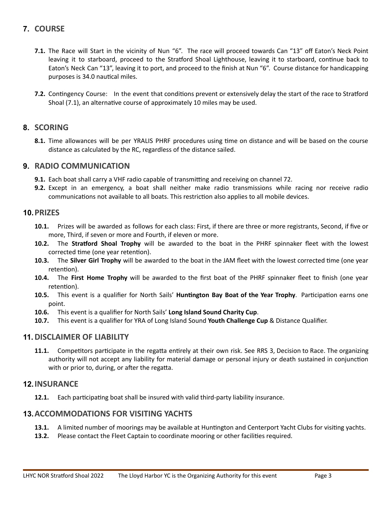# **7. COURSE**

- **7.1.** The Race will Start in the vicinity of Nun "6". The race will proceed towards Can "13" off Eaton's Neck Point leaving it to starboard, proceed to the Stratford Shoal Lighthouse, leaving it to starboard, continue back to Eaton's Neck Can "13", leaving it to port, and proceed to the finish at Nun "6". Course distance for handicapping purposes is 34.0 nautical miles.
- **7.2.** Contingency Course: In the event that conditions prevent or extensively delay the start of the race to Stratford Shoal (7.1), an alternative course of approximately 10 miles may be used.

#### **8. SCORING**

8.1. Time allowances will be per YRALIS PHRF procedures using time on distance and will be based on the course distance as calculated by the RC, regardless of the distance sailed.

#### **9. RADIO COMMUNICATION**

- **9.1.** Each boat shall carry a VHF radio capable of transmitting and receiving on channel 72.
- **9.2.** Except in an emergency, a boat shall neither make radio transmissions while racing nor receive radio communications not available to all boats. This restriction also applies to all mobile devices.

#### **10.PRIZES**

- **10.1.** Prizes will be awarded as follows for each class: First, if there are three or more registrants, Second, if five or more, Third, if seven or more and Fourth, if eleven or more.
- **10.2.** The **Stratford Shoal Trophy** will be awarded to the boat in the PHRF spinnaker fleet with the lowest corrected time (one year retention).
- **10.3.** The **Silver Girl Trophy** will be awarded to the boat in the JAM fleet with the lowest corrected time (one year retention).
- **10.4.** The **First Home Trophy** will be awarded to the first boat of the PHRF spinnaker fleet to finish (one year retention).
- **10.5.** This event is a qualifier for North Sails' Huntington Bay Boat of the Year Trophy. Participation earns one point.
- **10.6.** This event is a qualifier for North Sails' **Long Island Sound Charity Cup**.
- **10.7.** This event is a qualifier for YRA of Long Island Sound **Youth Challenge Cup** & Distance Qualifier.

# **11.DISCLAIMER OF LIABILITY**

**11.1.** Competitors participate in the regatta entirely at their own risk. See RRS 3, Decision to Race. The organizing authority will not accept any liability for material damage or personal injury or death sustained in conjunction with or prior to, during, or after the regatta.

#### **12.INSURANCE**

**12.1.** Each participating boat shall be insured with valid third-party liability insurance.

#### **13.ACCOMMODATIONS FOR VISITING YACHTS**

- **13.1.** A limited number of moorings may be available at Huntington and Centerport Yacht Clubs for visiting yachts.
- **13.2.** Please contact the Fleet Captain to coordinate mooring or other facilities required.